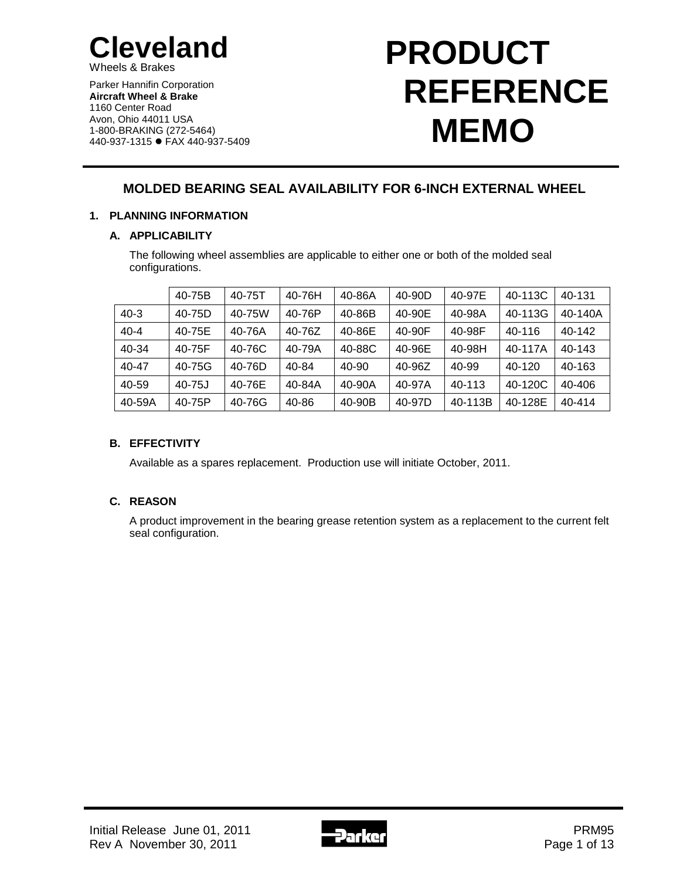

Wheels & Brakes

Parker Hannifin Corporation **Aircraft Wheel & Brake** 1160 Center Road Avon, Ohio 44011 USA 1-800-BRAKING (272-5464) 440-937-1315 FAX 440-937-5409

# **PRODUCT REFERENCE MEMO**

# **MOLDED BEARING SEAL AVAILABILITY FOR 6-INCH EXTERNAL WHEEL**

## **1. PLANNING INFORMATION**

## **A. APPLICABILITY**

The following wheel assemblies are applicable to either one or both of the molded seal configurations.

|           | 40-75B    | 40-75T | 40-76H | 40-86A     | 40-90D | 40-97E  | 40-113C | 40-131     |
|-----------|-----------|--------|--------|------------|--------|---------|---------|------------|
| $40 - 3$  | 40-75D    | 40-75W | 40-76P | 40-86B     | 40-90E | 40-98A  | 40-113G | 40-140A    |
| $40 - 4$  | 40-75E    | 40-76A | 40-76Z | 40-86E     | 40-90F | 40-98F  | 40-116  | $40 - 142$ |
| $40 - 34$ | 40-75F    | 40-76C | 40-79A | 40-88C     | 40-96E | 40-98H  | 40-117A | 40-143     |
| 40-47     | 40-75G    | 40-76D | 40-84  | 40-90      | 40-96Z | 40-99   | 40-120  | 40-163     |
| 40-59     | $40 - 75$ | 40-76E | 40-84A | $40 - 90A$ | 40-97A | 40-113  | 40-120C | 40-406     |
| 40-59A    | 40-75P    | 40-76G | 40-86  | 40-90B     | 40-97D | 40-113B | 40-128E | 40-414     |

## **B. EFFECTIVITY**

Available as a spares replacement. Production use will initiate October, 2011.

## **C. REASON**

A product improvement in the bearing grease retention system as a replacement to the current felt seal configuration.

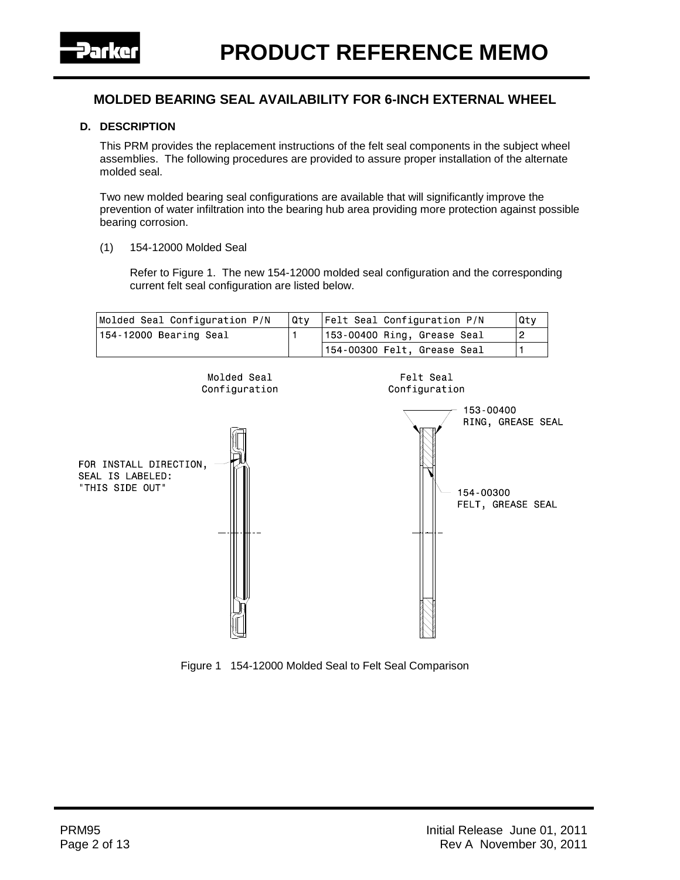

#### **D. DESCRIPTION**

This PRM provides the replacement instructions of the felt seal components in the subject wheel assemblies. The following procedures are provided to assure proper installation of the alternate molded seal.

Two new molded bearing seal configurations are available that will significantly improve the prevention of water infiltration into the bearing hub area providing more protection against possible bearing corrosion.

(1) 154-12000 Molded Seal

Refer to Figure 1. The new 154-12000 molded seal configuration and the corresponding current felt seal configuration are listed below.





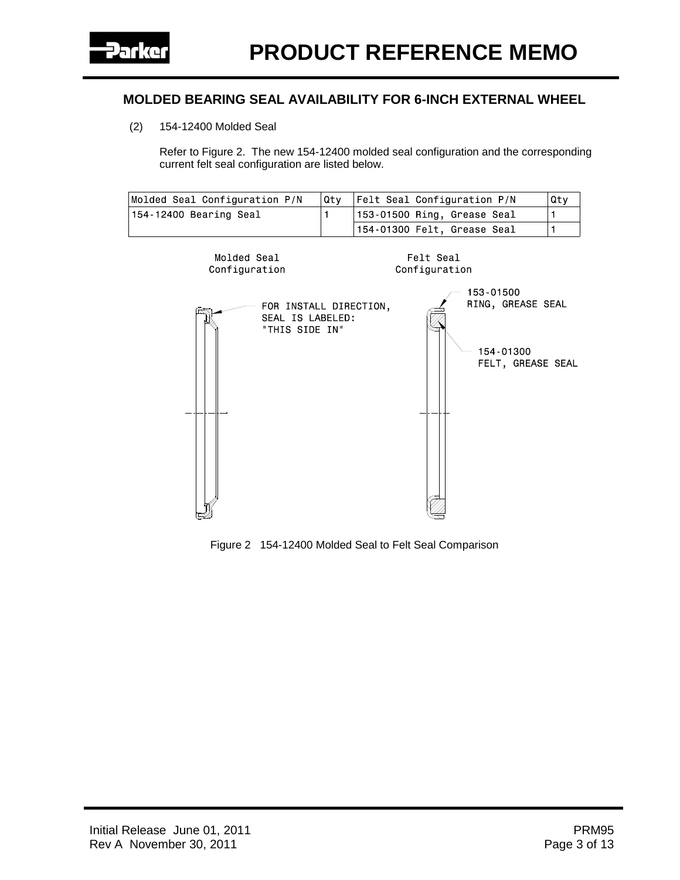(2) 154-12400 Molded Seal

Refer to Figure 2. The new 154-12400 molded seal configuration and the corresponding current felt seal configuration are listed below.

| Molded Seal Configuration P/N | Qtv | <b>Felt Seal Configuration P/N</b>  | Qtv |
|-------------------------------|-----|-------------------------------------|-----|
| 154-12400 Bearing Seal        |     | $\vert$ 153-01500 Ring, Grease Seal |     |
|                               |     | $154-01300$ Felt, Grease Seal       |     |



Figure 2 154-12400 Molded Seal to Felt Seal Comparison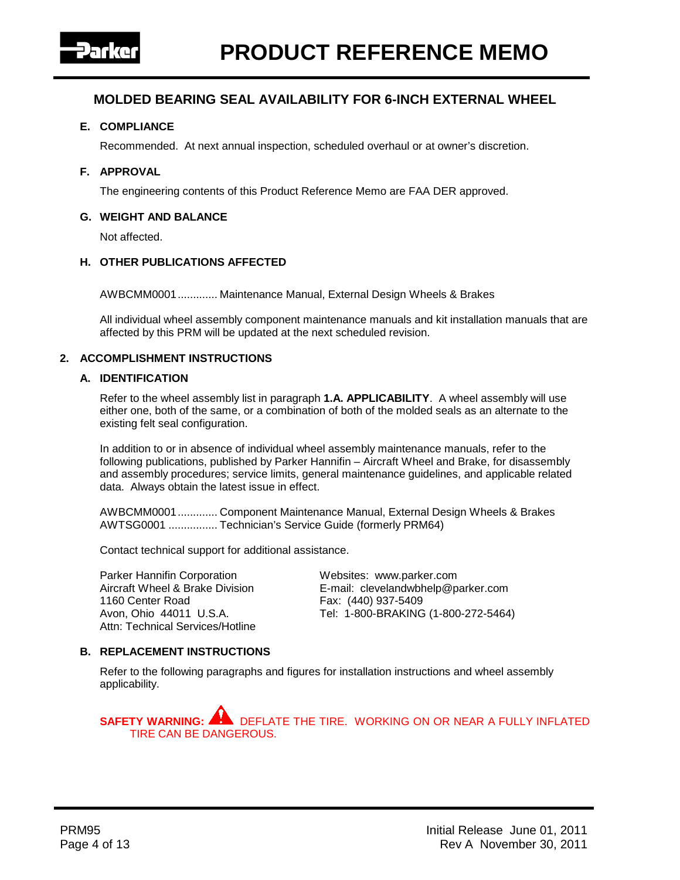

#### **E. COMPLIANCE**

Recommended. At next annual inspection, scheduled overhaul or at owner's discretion.

#### **F. APPROVAL**

The engineering contents of this Product Reference Memo are FAA DER approved.

#### **G. WEIGHT AND BALANCE**

Not affected.

#### **H. OTHER PUBLICATIONS AFFECTED**

AWBCMM0001............. Maintenance Manual, External Design Wheels & Brakes

All individual wheel assembly component maintenance manuals and kit installation manuals that are affected by this PRM will be updated at the next scheduled revision.

#### **2. ACCOMPLISHMENT INSTRUCTIONS**

#### **A. IDENTIFICATION**

Refer to the wheel assembly list in paragraph **1.A. APPLICABILITY**. A wheel assembly will use either one, both of the same, or a combination of both of the molded seals as an alternate to the existing felt seal configuration.

In addition to or in absence of individual wheel assembly maintenance manuals, refer to the following publications, published by Parker Hannifin – Aircraft Wheel and Brake, for disassembly and assembly procedures; service limits, general maintenance guidelines, and applicable related data. Always obtain the latest issue in effect.

AWBCMM0001............. Component Maintenance Manual, External Design Wheels & Brakes AWTSG0001 ................ Technician's Service Guide (formerly PRM64)

Contact technical support for additional assistance.

Parker Hannifin Corporation **Mebsites:** www.parker.com<br>Aircraft Wheel & Brake Division **Marker E-mail: clevelandwbhelp@p** 1160 Center Road **Fax:** (440) 937-5409 Attn: Technical Services/Hotline

E-mail: clevelandwbhelp@parker.com Avon, Ohio 44011 U.S.A. Tel: 1-800-BRAKING (1-800-272-5464)

#### **B. REPLACEMENT INSTRUCTIONS**

Refer to the following paragraphs and figures for installation instructions and wheel assembly applicability.

**SAFETY WARNING:** DEFLATE THE TIRE. WORKING ON OR NEAR A FULLY INFLATED TIRE CAN BE DANGEROUS.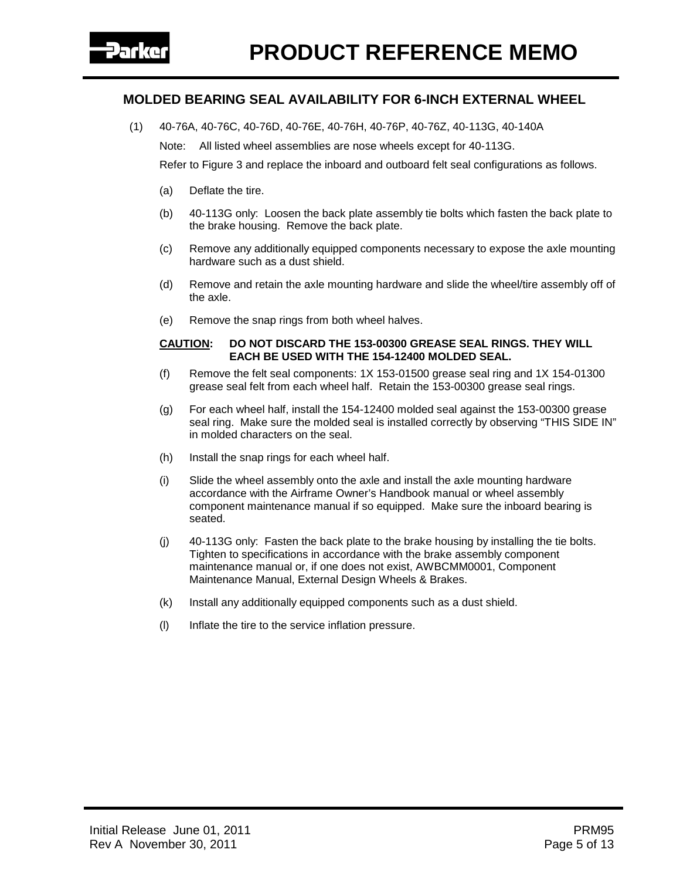(1) 40-76A, 40-76C, 40-76D, 40-76E, 40-76H, 40-76P, 40-76Z, 40-113G, 40-140A

Note: All listed wheel assemblies are nose wheels except for 40-113G.

Refer to Figure 3 and replace the inboard and outboard felt seal configurations as follows.

- (a) Deflate the tire.
- (b) 40-113G only: Loosen the back plate assembly tie bolts which fasten the back plate to the brake housing. Remove the back plate.
- (c) Remove any additionally equipped components necessary to expose the axle mounting hardware such as a dust shield.
- (d) Remove and retain the axle mounting hardware and slide the wheel/tire assembly off of the axle.
- (e) Remove the snap rings from both wheel halves.

#### **CAUTION: DO NOT DISCARD THE 153-00300 GREASE SEAL RINGS. THEY WILL EACH BE USED WITH THE 154-12400 MOLDED SEAL.**

- (f) Remove the felt seal components: 1X 153-01500 grease seal ring and 1X 154-01300 grease seal felt from each wheel half. Retain the 153-00300 grease seal rings.
- (g) For each wheel half, install the 154-12400 molded seal against the 153-00300 grease seal ring. Make sure the molded seal is installed correctly by observing "THIS SIDE IN" in molded characters on the seal.
- (h) Install the snap rings for each wheel half.
- (i) Slide the wheel assembly onto the axle and install the axle mounting hardware accordance with the Airframe Owner's Handbook manual or wheel assembly component maintenance manual if so equipped. Make sure the inboard bearing is seated.
- (j) 40-113G only: Fasten the back plate to the brake housing by installing the tie bolts. Tighten to specifications in accordance with the brake assembly component maintenance manual or, if one does not exist, AWBCMM0001, Component Maintenance Manual, External Design Wheels & Brakes.
- (k) Install any additionally equipped components such as a dust shield.
- (l) Inflate the tire to the service inflation pressure.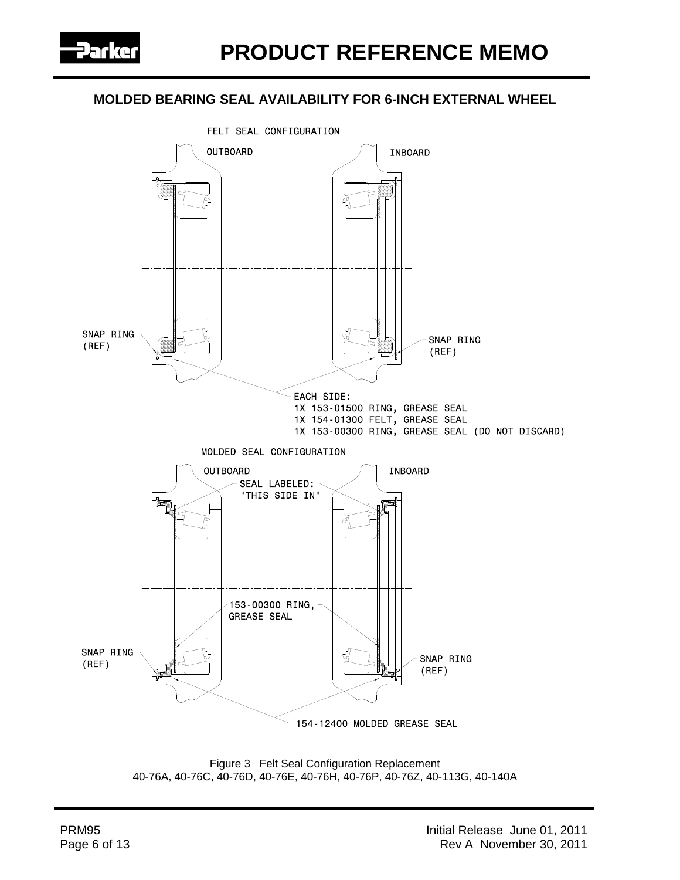



Figure 3 Felt Seal Configuration Replacement 40-76A, 40-76C, 40-76D, 40-76E, 40-76H, 40-76P, 40-76Z, 40-113G, 40-140A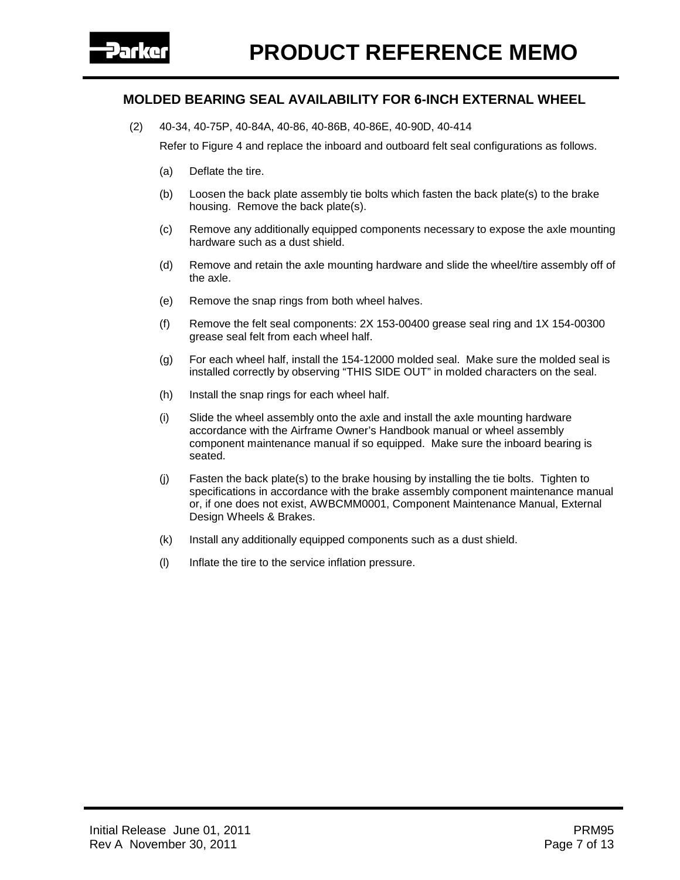(2) 40-34, 40-75P, 40-84A, 40-86, 40-86B, 40-86E, 40-90D, 40-414

Refer to Figure 4 and replace the inboard and outboard felt seal configurations as follows.

- (a) Deflate the tire.
- (b) Loosen the back plate assembly tie bolts which fasten the back plate(s) to the brake housing. Remove the back plate(s).
- (c) Remove any additionally equipped components necessary to expose the axle mounting hardware such as a dust shield.
- (d) Remove and retain the axle mounting hardware and slide the wheel/tire assembly off of the axle.
- (e) Remove the snap rings from both wheel halves.
- (f) Remove the felt seal components: 2X 153-00400 grease seal ring and 1X 154-00300 grease seal felt from each wheel half.
- (g) For each wheel half, install the 154-12000 molded seal. Make sure the molded seal is installed correctly by observing "THIS SIDE OUT" in molded characters on the seal.
- (h) Install the snap rings for each wheel half.
- (i) Slide the wheel assembly onto the axle and install the axle mounting hardware accordance with the Airframe Owner's Handbook manual or wheel assembly component maintenance manual if so equipped. Make sure the inboard bearing is seated.
- (j) Fasten the back plate(s) to the brake housing by installing the tie bolts. Tighten to specifications in accordance with the brake assembly component maintenance manual or, if one does not exist, AWBCMM0001, Component Maintenance Manual, External Design Wheels & Brakes.
- (k) Install any additionally equipped components such as a dust shield.
- (l) Inflate the tire to the service inflation pressure.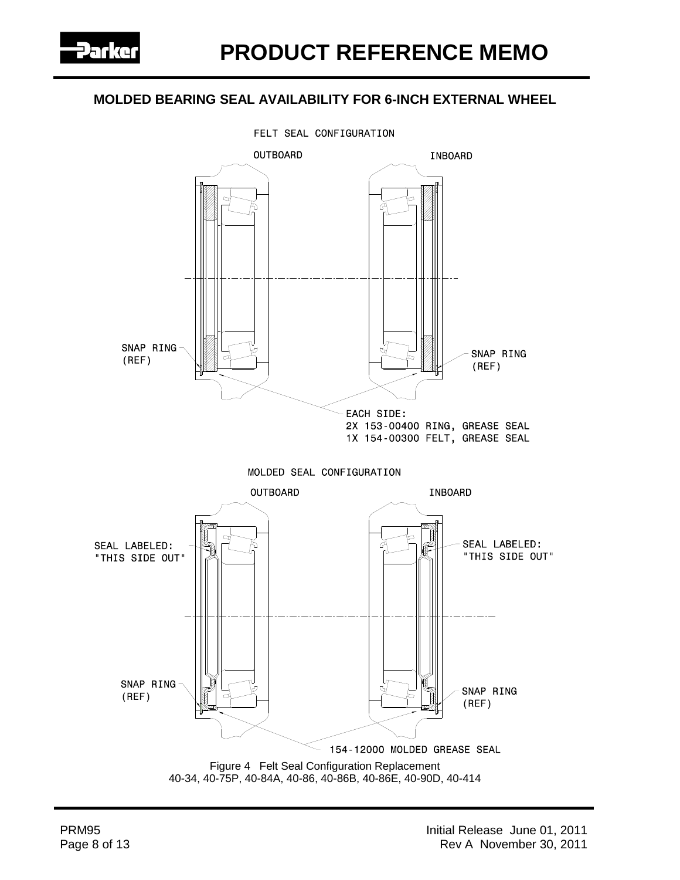

FELT SEAL CONFIGURATION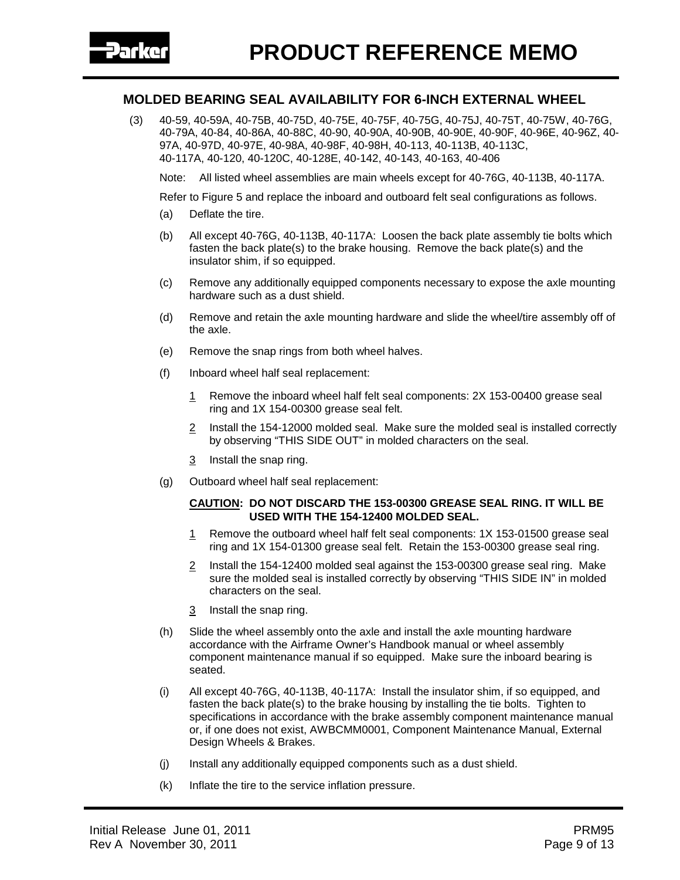(3) 40-59, 40-59A, 40-75B, 40-75D, 40-75E, 40-75F, 40-75G, 40-75J, 40-75T, 40-75W, 40-76G, 40-79A, 40-84, 40-86A, 40-88C, 40-90, 40-90A, 40-90B, 40-90E, 40-90F, 40-96E, 40-96Z, 40- 97A, 40-97D, 40-97E, 40-98A, 40-98F, 40-98H, 40-113, 40-113B, 40-113C, 40-117A, 40-120, 40-120C, 40-128E, 40-142, 40-143, 40-163, 40-406

Note: All listed wheel assemblies are main wheels except for 40-76G, 40-113B, 40-117A.

Refer to Figure 5 and replace the inboard and outboard felt seal configurations as follows.

- (a) Deflate the tire.
- (b) All except 40-76G, 40-113B, 40-117A: Loosen the back plate assembly tie bolts which fasten the back plate(s) to the brake housing. Remove the back plate(s) and the insulator shim, if so equipped.
- (c) Remove any additionally equipped components necessary to expose the axle mounting hardware such as a dust shield.
- (d) Remove and retain the axle mounting hardware and slide the wheel/tire assembly off of the axle.
- (e) Remove the snap rings from both wheel halves.
- (f) Inboard wheel half seal replacement:
	- 1 Remove the inboard wheel half felt seal components: 2X 153-00400 grease seal ring and 1X 154-00300 grease seal felt.
	- 2 Install the 154-12000 molded seal. Make sure the molded seal is installed correctly by observing "THIS SIDE OUT" in molded characters on the seal.
	- 3 Install the snap ring.
- (g) Outboard wheel half seal replacement:

#### **CAUTION: DO NOT DISCARD THE 153-00300 GREASE SEAL RING. IT WILL BE USED WITH THE 154-12400 MOLDED SEAL.**

- 1 Remove the outboard wheel half felt seal components: 1X 153-01500 grease seal ring and 1X 154-01300 grease seal felt. Retain the 153-00300 grease seal ring.
- 2 Install the 154-12400 molded seal against the 153-00300 grease seal ring. Make sure the molded seal is installed correctly by observing "THIS SIDE IN" in molded characters on the seal.
- 3 Install the snap ring.
- (h) Slide the wheel assembly onto the axle and install the axle mounting hardware accordance with the Airframe Owner's Handbook manual or wheel assembly component maintenance manual if so equipped. Make sure the inboard bearing is seated.
- (i) All except 40-76G, 40-113B, 40-117A: Install the insulator shim, if so equipped, and fasten the back plate(s) to the brake housing by installing the tie bolts. Tighten to specifications in accordance with the brake assembly component maintenance manual or, if one does not exist, AWBCMM0001, Component Maintenance Manual, External Design Wheels & Brakes.
- (j) Install any additionally equipped components such as a dust shield.
- (k) Inflate the tire to the service inflation pressure.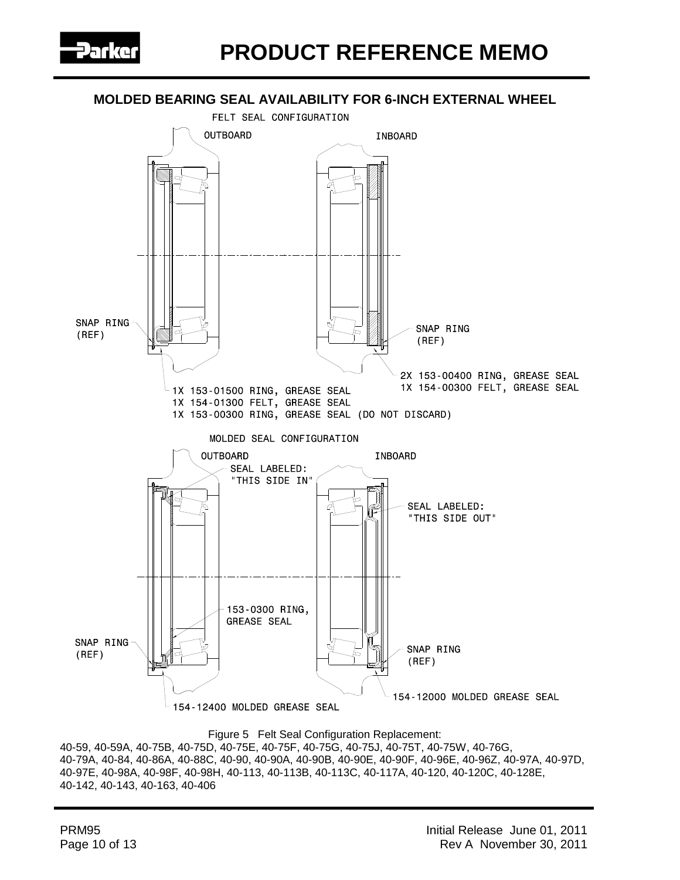



Figure 5 Felt Seal Configuration Replacement:

40-59, 40-59A, 40-75B, 40-75D, 40-75E, 40-75F, 40-75G, 40-75J, 40-75T, 40-75W, 40-76G, 40-79A, 40-84, 40-86A, 40-88C, 40-90, 40-90A, 40-90B, 40-90E, 40-90F, 40-96E, 40-96Z, 40-97A, 40-97D, 40-97E, 40-98A, 40-98F, 40-98H, 40-113, 40-113B, 40-113C, 40-117A, 40-120, 40-120C, 40-128E, 40-142, 40-143, 40-163, 40-406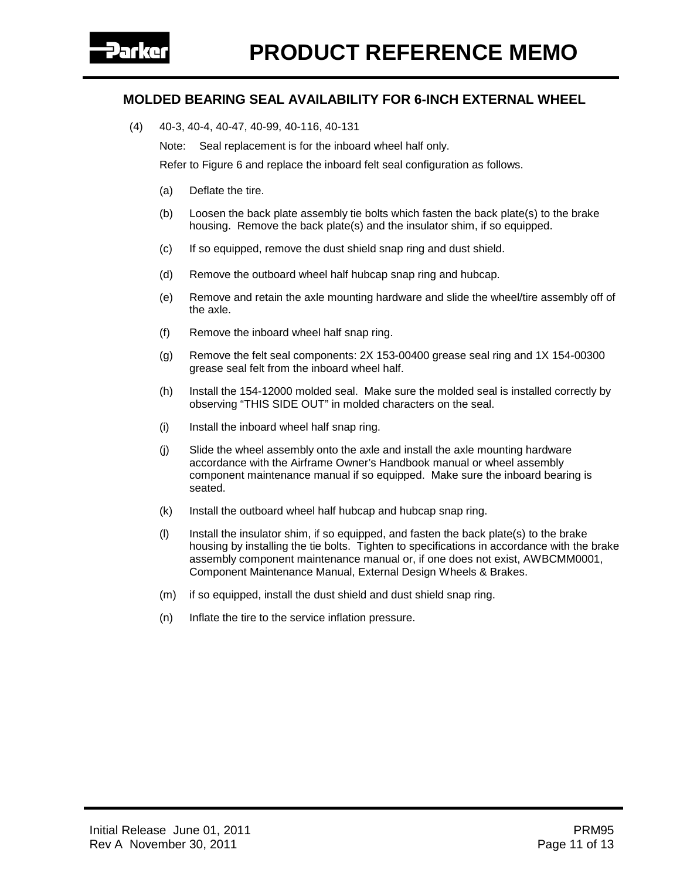(4) 40-3, 40-4, 40-47, 40-99, 40-116, 40-131

Note: Seal replacement is for the inboard wheel half only.

Refer to Figure 6 and replace the inboard felt seal configuration as follows.

- (a) Deflate the tire.
- (b) Loosen the back plate assembly tie bolts which fasten the back plate(s) to the brake housing. Remove the back plate(s) and the insulator shim, if so equipped.
- (c) If so equipped, remove the dust shield snap ring and dust shield.
- (d) Remove the outboard wheel half hubcap snap ring and hubcap.
- (e) Remove and retain the axle mounting hardware and slide the wheel/tire assembly off of the axle.
- (f) Remove the inboard wheel half snap ring.
- (g) Remove the felt seal components: 2X 153-00400 grease seal ring and 1X 154-00300 grease seal felt from the inboard wheel half.
- (h) Install the 154-12000 molded seal. Make sure the molded seal is installed correctly by observing "THIS SIDE OUT" in molded characters on the seal.
- (i) Install the inboard wheel half snap ring.
- (j) Slide the wheel assembly onto the axle and install the axle mounting hardware accordance with the Airframe Owner's Handbook manual or wheel assembly component maintenance manual if so equipped. Make sure the inboard bearing is seated.
- (k) Install the outboard wheel half hubcap and hubcap snap ring.
- (l) Install the insulator shim, if so equipped, and fasten the back plate(s) to the brake housing by installing the tie bolts. Tighten to specifications in accordance with the brake assembly component maintenance manual or, if one does not exist, AWBCMM0001, Component Maintenance Manual, External Design Wheels & Brakes.
- (m) if so equipped, install the dust shield and dust shield snap ring.
- (n) Inflate the tire to the service inflation pressure.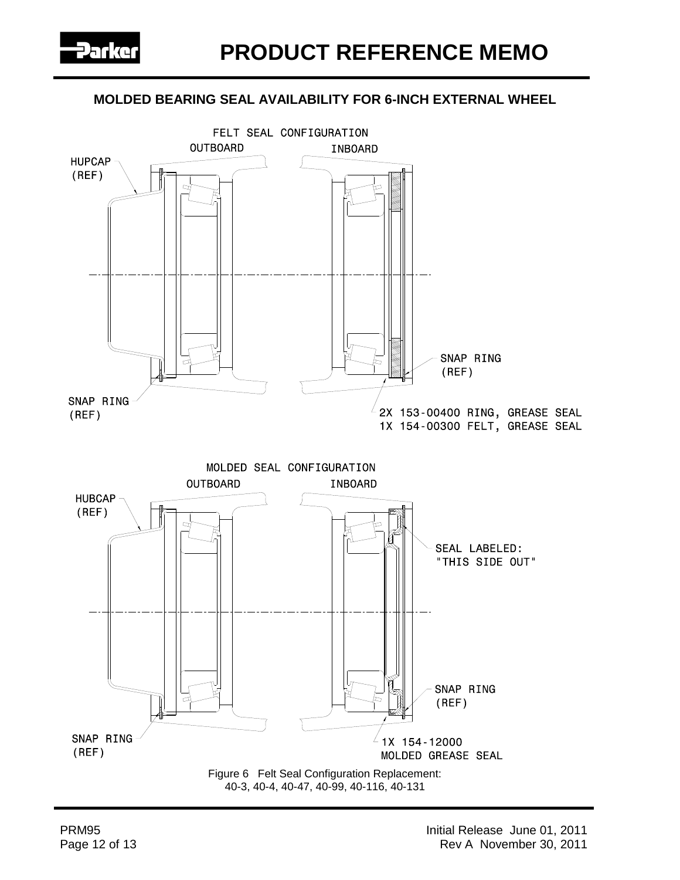